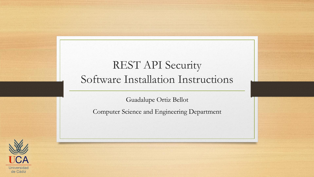#### REST API Security Software Installation Instructions

Guadalupe Ortiz Bellot

Computer Science and Engineering Department

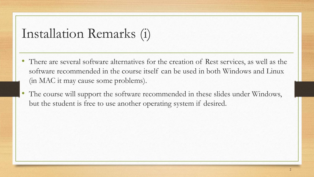#### Installation Remarks (i)

- There are several software alternatives for the creation of Rest services, as well as the software recommended in the course itself can be used in both Windows and Linux (in MAC it may cause some problems).
- The course will support the software recommended in these slides under Windows, but the student is free to use another operating system if desired.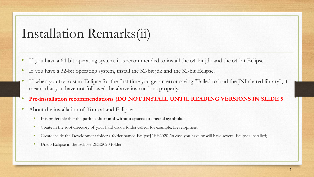### Installation Remarks(ii)

- If you have a 64-bit operating system, it is recommended to install the 64-bit jdk and the 64-bit Eclipse.
- If you have a 32-bit operating system, install the 32-bit jdk and the 32-bit Eclipse.
- If when you try to start Eclipse for the first time you get an error saying "Failed to load the JNI shared library", it means that you have not followed the above instructions properly.
- **Pre-installation recommendations (DO NOT INSTALL UNTIL READING VERSIONS IN SLIDE 5**
- About the installation of Tomcat and Eclipse:
	- It is preferable that the **path is short and without spaces or special symbols**.
	- Create in the root directory of your hard disk a folder called, for example, Development.
	- Create inside the Development folder a folder named EclipseJ2EE2020 (in case you have or will have several Eclipses installed).
	- Unzip Eclipse in the EclipseJ2EE2020 folder.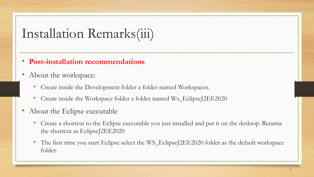## Installation Remarks(iii)

- **Post-installation recommendations**
- About the workspace:
	- Create inside the Development folder a folder named Workspaces.
	- Create inside the Workspace folder a folder named Ws\_EclipseJ2EE2020
- About the Eclipse executable
	- Create a shortcut to the Eclipse executable you just installed and put it on the desktop. Rename the shortcut as EclipseJ2EE2020
	- The first time you start Eclipse select the WS\_EclipseJ2EE2020 folder as the default workspace folder.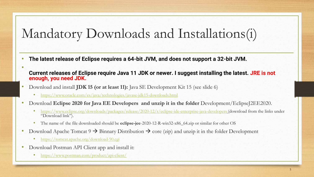# Mandatory Downloads and Installations(i)

- **The latest release of Eclipse requires a 64-bit JVM, and does not support a 32-bit JVM.**
- **Current releases of Eclipse require Java 11 JDK or newer. I suggest installing the latest. JRE is not enough, you need JDK.**
- Download and install **JDK 15 (or at least 11):** Java SE Development Kit 15 (see slide 6)
	- <https://www.oracle.com/es/java/technologies/javase-jdk15-downloads.html>
- Download **Eclipse 2020 for Java EE Developers and unzip it in the folder** Development/EclipseJ2EE2020.
	- <https://www.eclipse.org/downloads/packages/release/2020-12/r/eclipse-ide-enterprise-java-developers> (download from the links under "Download link").
	- The name of the file downloaded should be **eclipse-jee**-2020-12-R-win32-x86\_64.zip or similar for other OS
- Download Apache Tomcat  $9 \rightarrow$  Binnary Distribution  $\rightarrow$  core (zip) and unzip it in the folder Development
	- <https://tomcat.apache.org/download-90.cgi>

•

- Download Postman API Client app and install it:
	- <https://www.postman.com/product/api-client/>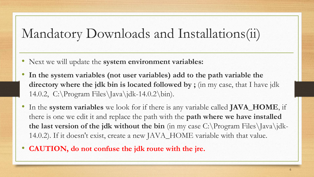## Mandatory Downloads and Installations(ii)

- Next we will update the **system environment variables:**
- **In the system variables (not user variables) add to the path variable the directory where the jdk bin is located followed by ;** (in my case, that I have jdk 14.0.2, C:\Program Files\Java\jdk-14.0.2\bin).
- In the **system variables** we look for if there is any variable called **JAVA\_HOME**, if there is one we edit it and replace the path with the **path where we have installed the last version of the jdk without the bin** (in my case C:\Program Files\Java\jdk-14.0.2). If it doesn't exist, create a new JAVA\_HOME variable with that value.
- **CAUTION, do not confuse the jdk route with the jre.**